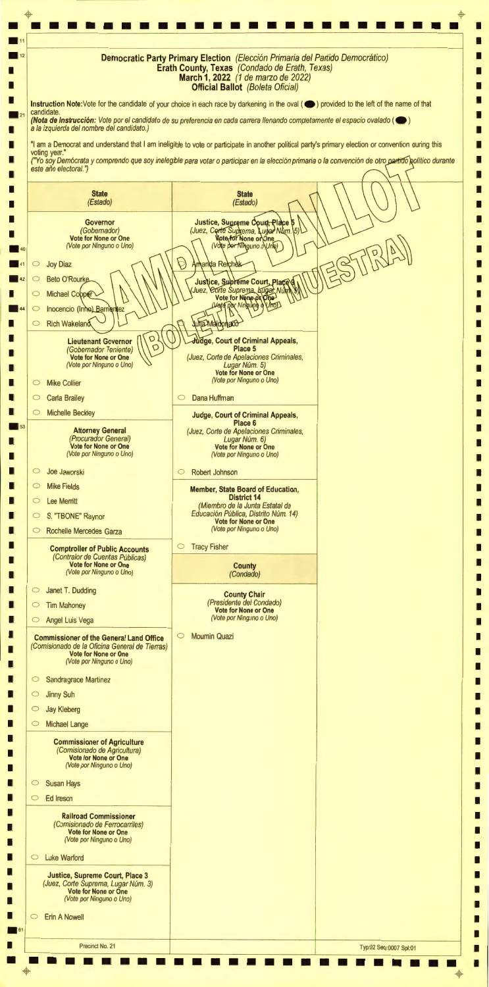• • • • • • • • • • • • • • • • • • • • • • • • • • • I . ,, I I **Democratic Party Primary Election** (Elección Primaria del Partido Democrático) **Erath County, Texas** (Condado de Erath, Texas) I I **March 1, 2022** (1 de marzo de 2022) I I **Official Ballot** (Boleta Oficial) I I **Instruction Note:Vote** for the candidate of your choice in each race by darkening in the oval ( **e )** provided to the left of the name of that candidate. I **(Nota de lnstruccion:** Vote por el candidato de su preferencia en cada carrera 1/enando completamente el espacio ova/ado ( **e )**  a la izquierda de/ nombre de/ candidato.) I I "I am a Democrat and understand that I am ineligible to vote or participate in another political party's primary election or convention during this I I voting year." I ("Yo soy Demócrata y comprendo que soy inelegible para votar o participar en la elección primaria o la convención de otro partido golítico durante I este año electoral.") I I I I **State State**  (Estado) (Estado) I I I Justice, Supreme Court, Place<br>(Juez, Corte Suprema, Lugar Num.<br>Vote for None or One I **Governor**  (Gobemador) I I **Vote for None or One**  (Vote portvinguno o\Unb) (Vote por Ninguno o Uno) I Amanda Reichak  $\circ$  Joy Diaz I  $\circ$ **Beto O'Rourke** Justice, Supreme Court, Place<br>Juez, Corte Suprema, Kugar Num<br>Vote for None of One I I  $\circ$ Michael Copper I UnoD Vote por Ningung Inocencio (Inho) Barrientez  $\circ$ I D una Maldonado I  $\circ$ **Rich Wakeland** I I **Lieutenant Governor**  $\left(\bigvee_{D}\right)$ **ge, Court of Criminal Appeals,**  I (Gobernador Teniente) 0 **Place 5**  I I **Vote for None or One**  (Juez, Corte de Apelaciones Criminales, (Vote por Ninguno o Uno) Lugar Núm. 5) I I **Vote for None or One**  (Vote por Ninguno o Uno) I o Mike Collier I o Dana Huffman I  $\circ$  Carla Brailey I  $\frac{1}{\sqrt{5}}$ I o Michelle Beckley L, **Judge, Court of Criminal Appeals, Place 6**  I **Attorney General**  (Juez, Corte de Apelaciones Criminales, Lugar Núm. 6) (Procurador General) I I **Vote for None or One Vote for None or One**  (Vote por Ninguno o Uno) (Vote por Ninguno o Uno) I I I o Joe Jaworski O Robert Johnson I I o Mike Fields I **Member, State Board of Education, District 14**  I o Lee Merritt I (Miembro de la Junta Estatal de Educación Pública, Distrito Núm. 14) I O S. "TBONE" Raynor I **Vote for None or One**  (Vote por Ninguno o Uno) I o Rochelle Mercedes Garza I I o Tracy Fisher I **Comptroller of Public Accounts**  (Contralor de Cuentas Públicas) I I **Vote for None or One County** (Vote por Ninguno o Uno) (Condado) I I I o Janet T. Dudding I **County Chair**  (Presidente de/ Condado) I o Tim Mahoney I **Vote for None or One**  (Vote por Ninguno o Uno) I o Angel Luis Vega I I O Moumin Quazi I **Commissioner of the General Land Office**  (Comisionado de la Oficina General de Tierras) I I **Vote for None or One**  (Vote por Ninguno o Uno) I I I o Sandragrace Martinez I I  $\circ$  Jinny Suh I I o Jay Kleberg I

| <b>Michael Lange</b>                                                                                                                                 |                        |
|------------------------------------------------------------------------------------------------------------------------------------------------------|------------------------|
| <b>Commissioner of Agriculture</b><br>(Comisionado de Agricultura)<br>Vote for None or One<br>(Vote por Ninguno o Uno)                               |                        |
| <b>Susan Hays</b><br>$\circ$                                                                                                                         |                        |
| Ed Ireson<br>$\circ$                                                                                                                                 |                        |
| <b>Railroad Commissioner</b><br>(Comisionado de Ferrocarriles)<br>Vote for None or One<br>(Vote por Ninguno o Uno)<br><b>Luke Warford</b><br>$\circ$ |                        |
| <b>Justice, Supreme Court, Place 3</b><br>(Juez, Corte Suprema, Lugar Núm. 3)<br>Vote for None or One<br>(Vote por Ninguno o Uno)                    |                        |
| <b>Erin A Nowell</b><br>$\circ$                                                                                                                      |                        |
|                                                                                                                                                      |                        |
|                                                                                                                                                      | Typ:02 Seq:0007 Spl:01 |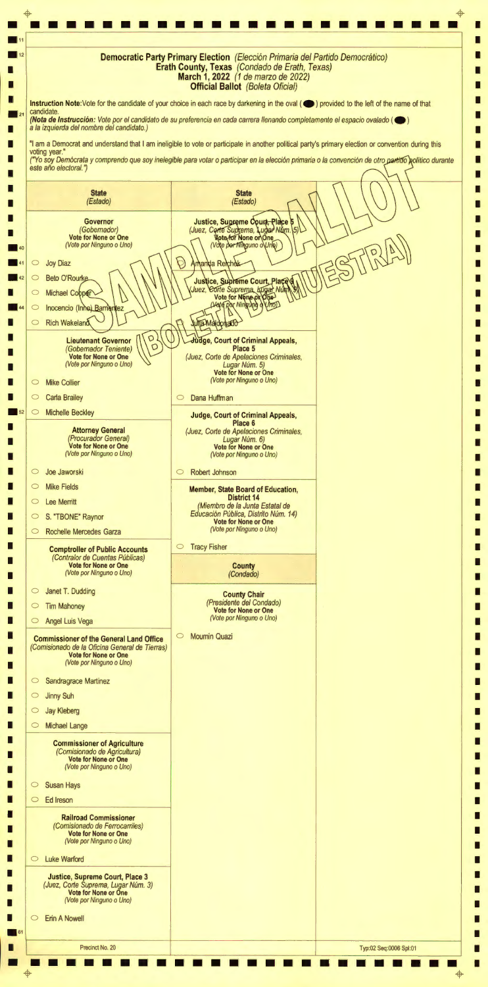+ + • • • • • • • • • • • • • • • • • • • • • • • • • I •11 I I **Democratic Party Primary Election** (Elección Primaria del Partido Democrático) **Erath County, Texas** (Condado de Erath, Texas)  $\Box$ I **March 1, 2022** (1 de marzo de 2022) I I **Official Ballot** (Boleta Oficial) I I Instruction Note:Vote for the candidate of your choice in each race by darkening in the oval (
in provided to the left of the name of that candidate of your choice in each race by darkening in the oval (
in provided to the candidate.  $\Box$ **(Nota de lnstrucci6n:** Vote par el candidato de su preferencia en cada carrera 1/enando completamente el espacio ova/ado ( **e )**  a la izquierda del nombre del candidato.) I I I "I am a Democrat and understand that I am ineligible to vote or participate in another political party's primary election or convention during this I voting year." I ("Yo soy Demócrata y comprendo que soy inelegible para votar o participar en la elección primaria o la convención de otro partido político durante I este año electoral.") I I I I **State State** (Estado) (Estado) I I I I **Governor**  Justice, Supreme Court, Place (Juez, Certe Suprema, Lugar Num. (Gobernador) I I **Vote for None or One**  Vote por Ninguno o Uno) (Vote por Ninguno o Uno) I I  $\circ$  Joy Diaz Amanda Reichak Justice, Subreme Court, Place<br>Juez, Corte Suprema, bugar Nun I  $\circ$ **Beto O'Rourke**  $\Box$  $\begin{array}{c} \begin{array}{c} \text{I} \\ \text{I} \end{array} \end{array}$  $\circ$ Michael Cobper Waterpor Ningung Unop Inocencio (Inne) Barri  $\Box$ Nez una Maldonado I **Rich Wakeland**  $\circ$ I I **Lieutenant Governor**  $\left(\bigvee_{\square} \bigcirc \bigvee_{\square}$ I **ge, Court of Criminal Appeals,**  (Gobernador Teniente) 0 **Place 5**  I I **Vote for None or One**  (Juez, Corte de Ape/aciones Criminales, (Vote por Ninguno o Uno) Lugar Núm. 5) I I **Vote for None or One**  (Vote por Ninguno o Uno) I O Mike Collier I I Carla Brailey o Dana Huffman I  $\circ$  Michelle Beckley I **Judge, Court of Criminal Appeals, Place 6**  I I **Attorney General**  (Juez, Corte de Apelaciones Criminales, (Procurador General) Lugar Núm. 6) I I **Vote for None or One Vote for None or One**  (Vote por Ninguno o Uno) (Vote por Ninguno o Uno) I I I O Joe Jaworski O Robert Johnson I I **Mike Fields** I **Member, State Board of Education, District 14**  I 0 Lee Merritt I (Miembro de la Junta Estatal de Educación Pública, Distrito Núm. 14) I o S. "TBONE" Raynor I **Vote for None or One**  I (Vote por Ninguno o Uno) o Rochelle Mercedes Garza  $\Box$ I o Tracy Fisher I **Comptroller of Public Accounts**  (Contralor de Cuentas Públicas) I I **Vote for None or One County**  (Vote por Ninguno o Uno) (Condado) I I I o Janet T. Dudding I **County Chair**  (Presidente def Condado) I O Tim Mahoney I **Vote for None or One**  (Vote por Ninguno o Uno) I o Angel Luis Vega  $\Box$ I o Moumin Quazi I **Commissioner of the General Land Office**  (Comisionado de la Oficina General de Tierras) I I **Vote for None or One**  (Vote por Ninguno o Uno) I I I o Sandragrace Martinez I I O Jinny Suh I I o Jay Kleberg I

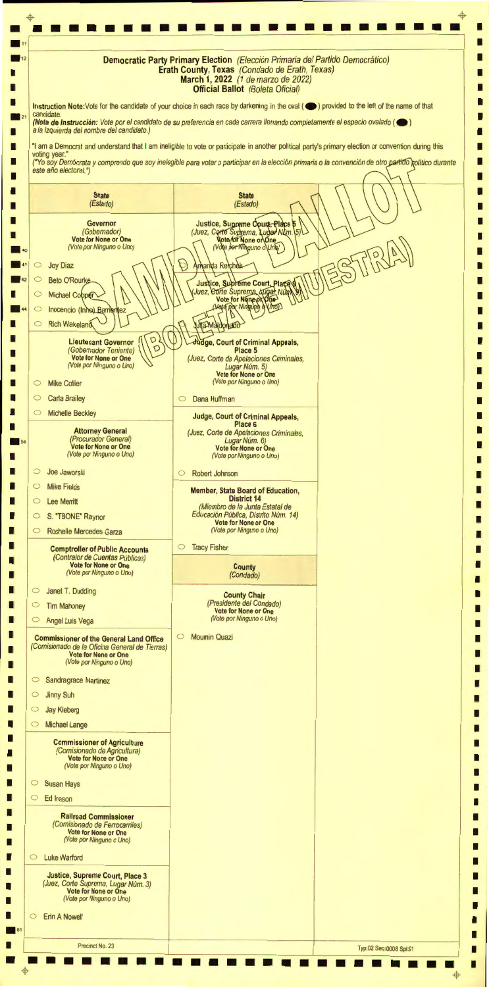••••••••••••••••••••••••  $\mathbf{\overline{\Psi}}$  $\Phi$ <del>ب</del><br>ا I **11**<br>12<br>**Democratic Party Primary Election** (Elección Primaria del Partido Democrático) I  $\blacksquare$  11 I **Erath County, Texas** (Condado de Erath, Texas) I I **March 1, 2022** (1 de marzo de 2022) <sup>I</sup>I **Official Ballot** (Boleta Oficial) I I I **Instruction Note:Vote** for the candidate of your choice in each race by darkening in the oval ( **e )** provided to the left of the name of that candidate. I **(Nota de lnstrucci6n:** Vote por el candidato de su preferencia en cada carrera 1/enando completamente el espacio ova/ado ( **e )**  a la izquierda def nombre def candidato.) I I "I am a Democrat and understand that I am ineligible to vote or participate in another political party's primary election or convention during this I I voting year." ("Yo soy Demócrata y comprendo que soy inelegible para votar o participar en la elección primaria o la convención de otro partido político durante I I este año electoral.") I I I L, **State State** (Estado) (Estado) I I Justice, Supreme Court, Place 5 I I **Governor**  (Gobernador) I I **Vote for None or One**  (Vote por Ninguno o Uno) (Vote por Ninguno o Uno) **. 40**<br>**. 41** I  $\circ$ Joy Diaz Amanda Reichek I **Beto O'Rourke**  $\overline{42}$  $\circ$ Justice, Supreme Court, Place I Juez, Corte Suprema Lugar Num Michael Copper I  $\circ$ **. 44**  I Vmon Vote Roc Ningung q Inocencio (Inhe) Barnentez  $\circ$ I D I **Rich Wakeland Julia Maldonado**  $\circ$ I  $\frac{1}{\text{Covernor}} \left( \left( \begin{array}{c} 0 \\ 0 \end{array} \right) \right)$ I **ge, Court of Criminal Appeals,**  I **Lieutenant Governor**  (Gobernador Teniente) **Place 5**  I I **Vote for None or One**  (Juez, Corte de Apelaciones Criminales, (Vote por Ninguno o Uno) Lugar Num. 5) I I **Vote for None or One**  (Vote por Ninguno o Uno) I **Mike Collier**  $\circ$ I I  $\circ$ Carla Brailey 0 Dana Huffman I I  $\circ$ Michelle Beckley **Judge, Court of Criminal Appeals,**  I **Place 6**  I  $\overline{\phantom{a}}$  54 **Attorney General**  I (Juez, Corte de Ape/aciones Criminales, (Procurador General) Lugar Núm. 6) I **Vote for None or One Vote for None or One**  (Vote por Ninguno o Uno) (Vote por Ninguno o Uno) I I I Joe Jaworski  $\circ$ 0 Robert Johnson I I Mike Fields  $\circ$ **Member, State Board of Education,**  I **District 14**  I  $\circ$ Lee Merritt I (Miembro de la Junta Estatal de Educación Pública, Distrito Núm. 14) I S. "TBONE" Raynor  $\circ$ I **Vote for None or One**  (Vote por Ninguno o Uno) I  $\circ$ Rochelle Mercedes Garza I I 0 Tracy Fisher **Comptroller of Public Accounts**  I (Contralor de Cuentas Públicas) I I **Vote for None or One County**  (Vote por Ninguno o Uno) I (Condado) I I  $\circ$ Janet T. Dudding **County Chair**  I (Presidente def Condado) I  $\circ$ Tim Mahoney I **Vote for None or One**  (Vote por Ninguno o Uno) I  $\circ$ Angel Luis Vega I I 0 Moumin Quazi **Commissioner of the General Land Office**  I (Comisionado de la Oficina General de Tierras) I **Vote for None or One**  I (Vote por Ninguno o Uno) I I I 0 Sandragrace Martinez I I 0 Jinny Suh I I 0 Jay Kleberg I

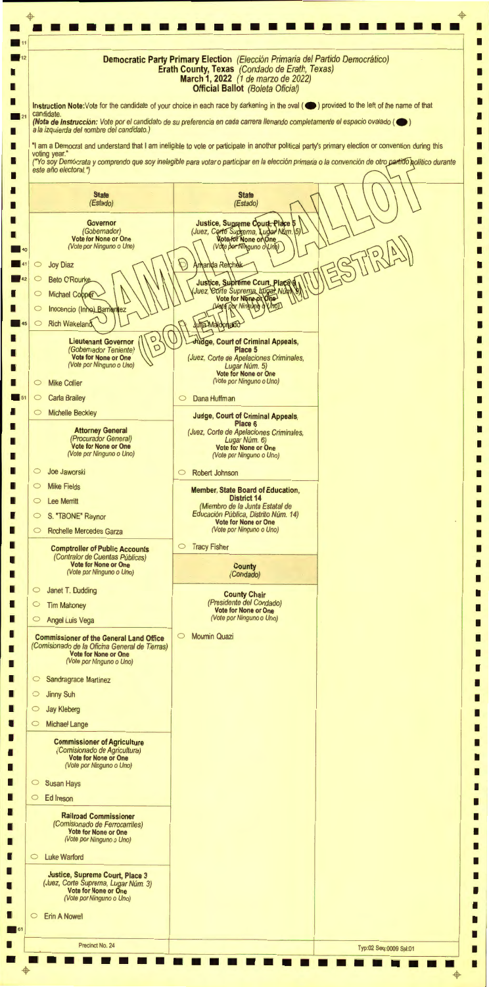• • • • • • • • • • • • • • • • • • • • • • • • • • • I >---------- ------------------ ----- ------ - -------, **Democratic Party Primary Election** (Elecci6n Primaria def Partido Democratico) I  $\blacksquare$  11 I  $\blacksquare$  12 **Erath County, Texas** (Condado de Erath, Texas) I I **March 1, 2022** (1 de marzo de 2022) **Official Ballot** (Boleta Oficial) I I I I **Instruction Note:Vote** for the candidate of your choice in each race by darkening in the oval ( **e )** provided to the left of the name of that candidate I **(Nota de lnstruccion:** Vote por el candidato de su preferencia en cada carrera 1/enando completamente el espacio ova/ado ( **e** ) a la izquierda def nombre def candidato.) I I "I am a Democrat and understand that I am ineligible to vote or participate in another political party's primary election or convention during this I I voting year." I I ("Yo soy Demócrata y comprendo que soy inelegible para votar o participar en la elección primaria o la convención de otro partido político durante este año electoral.") I I ' '. I I **State State** (Estado) (Estado) I I I Justice, Supreme Court, Place<br>(Juez, Corte Suprema, Lugar Num.)<br>Mote for None or One I **Governor**  5 (Gobernador)  $\sqrt{5}$ I I **Vote for None or One**  (Vote por Ninguno o Uno) (Vote por Ninguno o Uno) I 40 Amanda Reichak  $\circ$  Joy Diaz I **Beto O'Rourke** Justice, Supreme Court, Place<br>Juez, Corte Suprema, Kugar Num<br>Vote for None of One  $\blacksquare$  42  $\subset$ I I Michael Cobper  $\subset$ I **Varg Por Ningung** Vmon I  $\circ$ Inocencio (Inhe) Barnentez I **Rich Wakeland Julia Maldonado**  $\circ$ I  $\Box$  45 I Lieutenant Governor  $\left(\begin{matrix} 0 \\ 0 \end{matrix}\right)$ **ge, Court of Criminal Appeals,**  I **Place 5**  I I (Juez, Corte de Apelaciones Criminales, **Vote for None or One**  (Vote por Ninguno o Uno) Lugar Núm. 5) I I **Vote for None or One**  (Vote por Ninguno o Uno) Mike Collier I  $\circ$ I  $\circ$ Carla Brailey 0 Dana Huffman I  $\blacksquare$  51 I  $\circ$ Michelle Beckley I **Judge, Court of Criminal Appeals, Place 6**  I I **Attorney General**  (Juez, Corte de Apelaciones Criminales, (Procurador General) Lugar Núm. 6) I **Vote for None or One**  I **Vote for None or One**  (Vote por Ninguno o Uno) (Vote por Ninguno o Uno) I I I Joe Jaworski  $\circ$ 0 Robert Johnson I I  $\circ$ Mike Fields **Member, State Board of Education,**  I **District 14**  I  $\circ$ Lee Merritt I (Miembro de la Junta Estatal de Educación Pública, Distrito Núm. 14) I S. "TBONE" Raynor  $\circ$ I **Vote for None or One**  (Vote por Ninguno o Uno) I  $\circ$ Rochelle Mercedes Garza I I 0 Tracy Fisher **Comptroller of Public Accounts**  I (Contralor de Cuentas Públicas) I I **Vote for None or One County**  (Vote por Ninguno o Uno) I (Condado) I I  $\circ$ Janet T. Dudding I **County Chair**  (Presidente def Condado) I  $\circ$ Tim Mahoney I **Vote for None or One**  (Vote por Ninguno o Uno) I  $\circ$ Angel Luis Vega I I 0 Moumin Quazi **Commissioner of the General Land Office**  I (Comisionado de la Oficina General de Tierras) I I **Vote for None or One**  (Vote por Ninguno o Uno) I I I 0 Sandragrace Martinez I I 0 Jinny Suh I I 0 Jay Kleberg I